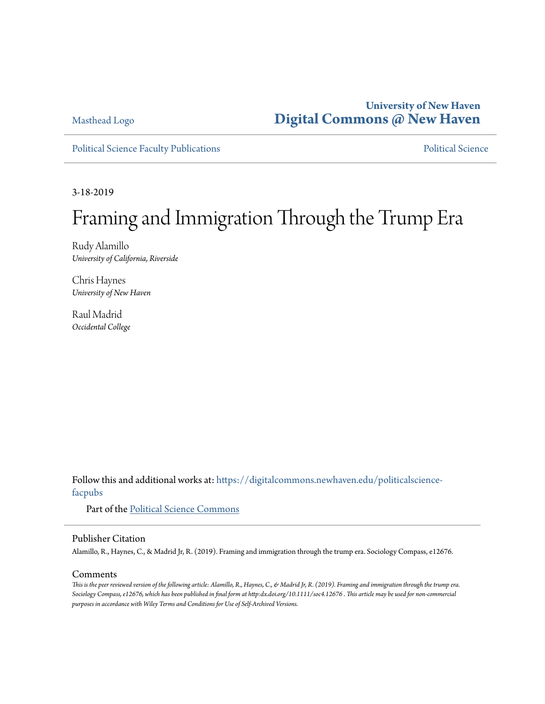### **University of New Haven [Digital Commons @ New Haven](https://digitalcommons.newhaven.edu?utm_source=digitalcommons.newhaven.edu%2Fpoliticalscience-facpubs%2F14&utm_medium=PDF&utm_campaign=PDFCoverPages)**

Masthead Logo

[Political Science Faculty Publications](https://digitalcommons.newhaven.edu/politicalscience-facpubs?utm_source=digitalcommons.newhaven.edu%2Fpoliticalscience-facpubs%2F14&utm_medium=PDF&utm_campaign=PDFCoverPages) **[Political Science](https://digitalcommons.newhaven.edu/politicalscience?utm_source=digitalcommons.newhaven.edu%2Fpoliticalscience-facpubs%2F14&utm_medium=PDF&utm_campaign=PDFCoverPages)** Political Science

3-18-2019

# Framing and Immigration Through the Trump Era

Rudy Alamillo *University of California, Riverside*

Chris Haynes *University of New Haven*

Raul Madrid *Occidental College*

Follow this and additional works at: [https://digitalcommons.newhaven.edu/politicalscience](https://digitalcommons.newhaven.edu/politicalscience-facpubs?utm_source=digitalcommons.newhaven.edu%2Fpoliticalscience-facpubs%2F14&utm_medium=PDF&utm_campaign=PDFCoverPages)[facpubs](https://digitalcommons.newhaven.edu/politicalscience-facpubs?utm_source=digitalcommons.newhaven.edu%2Fpoliticalscience-facpubs%2F14&utm_medium=PDF&utm_campaign=PDFCoverPages)

Part of the [Political Science Commons](http://network.bepress.com/hgg/discipline/386?utm_source=digitalcommons.newhaven.edu%2Fpoliticalscience-facpubs%2F14&utm_medium=PDF&utm_campaign=PDFCoverPages)

#### Publisher Citation

Alamillo, R., Haynes, C., & Madrid Jr, R. (2019). Framing and immigration through the trump era. Sociology Compass, e12676.

#### Comments

*This is the peer reviewed version of the following article: Alamillo, R., Haynes, C., & Madrid Jr, R. (2019). Framing and immigration through the trump era. Sociology Compass, e12676, which has been published in final form at http:dx.doi.org/10.1111/soc4.12676 . This article may be used for non-commercial purposes in accordance with Wiley Terms and Conditions for Use of Self-Archived Versions.*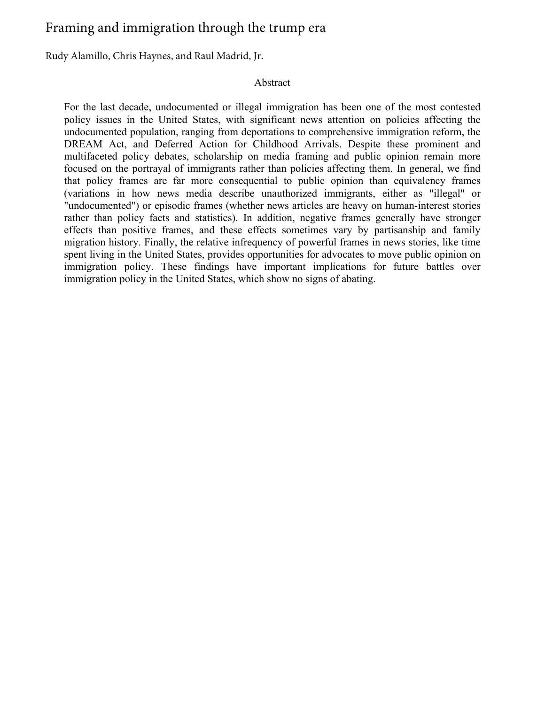## Framing and immigration through the trump era

Rudy Alamillo, Chris Haynes, and Raul Madrid, Jr.

#### Abstract

For the last decade, undocumented or illegal immigration has been one of the most contested policy issues in the United States, with significant news attention on policies affecting the undocumented population, ranging from deportations to comprehensive immigration reform, the DREAM Act, and Deferred Action for Childhood Arrivals. Despite these prominent and multifaceted policy debates, scholarship on media framing and public opinion remain more focused on the portrayal of immigrants rather than policies affecting them. In general, we find that policy frames are far more consequential to public opinion than equivalency frames (variations in how news media describe unauthorized immigrants, either as "illegal" or "undocumented") or episodic frames (whether news articles are heavy on human-interest stories rather than policy facts and statistics). In addition, negative frames generally have stronger effects than positive frames, and these effects sometimes vary by partisanship and family migration history. Finally, the relative infrequency of powerful frames in news stories, like time spent living in the United States, provides opportunities for advocates to move public opinion on immigration policy. These findings have important implications for future battles over immigration policy in the United States, which show no signs of abating.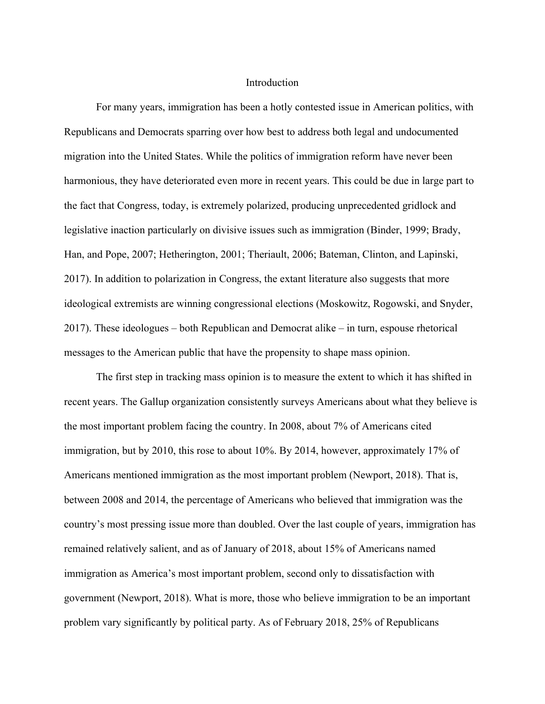#### Introduction

For many years, immigration has been a hotly contested issue in American politics, with Republicans and Democrats sparring over how best to address both legal and undocumented migration into the United States. While the politics of immigration reform have never been harmonious, they have deteriorated even more in recent years. This could be due in large part to the fact that Congress, today, is extremely polarized, producing unprecedented gridlock and legislative inaction particularly on divisive issues such as immigration (Binder, 1999; Brady, Han, and Pope, 2007; Hetherington, 2001; Theriault, 2006; Bateman, Clinton, and Lapinski, 2017). In addition to polarization in Congress, the extant literature also suggests that more ideological extremists are winning congressional elections (Moskowitz, Rogowski, and Snyder, 2017). These ideologues – both Republican and Democrat alike – in turn, espouse rhetorical messages to the American public that have the propensity to shape mass opinion.

The first step in tracking mass opinion is to measure the extent to which it has shifted in recent years. The Gallup organization consistently surveys Americans about what they believe is the most important problem facing the country. In 2008, about 7% of Americans cited immigration, but by 2010, this rose to about 10%. By 2014, however, approximately 17% of Americans mentioned immigration as the most important problem (Newport, 2018). That is, between 2008 and 2014, the percentage of Americans who believed that immigration was the country's most pressing issue more than doubled. Over the last couple of years, immigration has remained relatively salient, and as of January of 2018, about 15% of Americans named immigration as America's most important problem, second only to dissatisfaction with government (Newport, 2018). What is more, those who believe immigration to be an important problem vary significantly by political party. As of February 2018, 25% of Republicans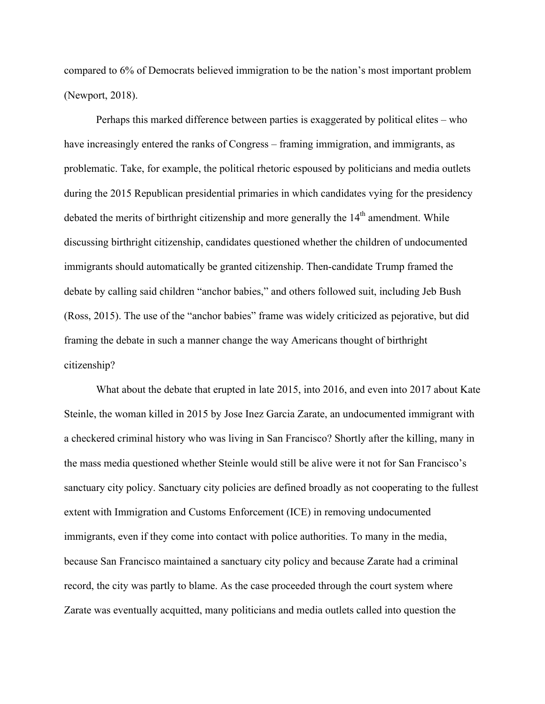compared to 6% of Democrats believed immigration to be the nation's most important problem (Newport, 2018).

Perhaps this marked difference between parties is exaggerated by political elites – who have increasingly entered the ranks of Congress – framing immigration, and immigrants, as problematic. Take, for example, the political rhetoric espoused by politicians and media outlets during the 2015 Republican presidential primaries in which candidates vying for the presidency debated the merits of birthright citizenship and more generally the  $14<sup>th</sup>$  amendment. While discussing birthright citizenship, candidates questioned whether the children of undocumented immigrants should automatically be granted citizenship. Then-candidate Trump framed the debate by calling said children "anchor babies," and others followed suit, including Jeb Bush (Ross, 2015). The use of the "anchor babies" frame was widely criticized as pejorative, but did framing the debate in such a manner change the way Americans thought of birthright citizenship?

What about the debate that erupted in late 2015, into 2016, and even into 2017 about Kate Steinle, the woman killed in 2015 by Jose Inez Garcia Zarate, an undocumented immigrant with a checkered criminal history who was living in San Francisco? Shortly after the killing, many in the mass media questioned whether Steinle would still be alive were it not for San Francisco's sanctuary city policy. Sanctuary city policies are defined broadly as not cooperating to the fullest extent with Immigration and Customs Enforcement (ICE) in removing undocumented immigrants, even if they come into contact with police authorities. To many in the media, because San Francisco maintained a sanctuary city policy and because Zarate had a criminal record, the city was partly to blame. As the case proceeded through the court system where Zarate was eventually acquitted, many politicians and media outlets called into question the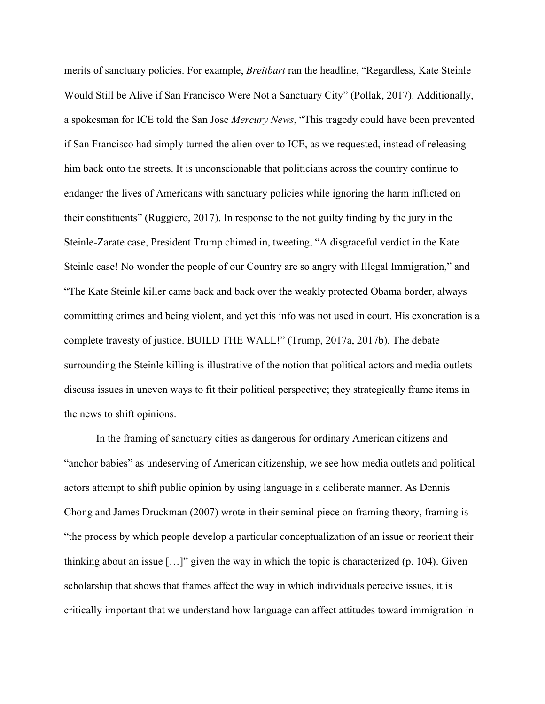merits of sanctuary policies. For example, *Breitbart* ran the headline, "Regardless, Kate Steinle Would Still be Alive if San Francisco Were Not a Sanctuary City" (Pollak, 2017). Additionally, a spokesman for ICE told the San Jose *Mercury News*, "This tragedy could have been prevented if San Francisco had simply turned the alien over to ICE, as we requested, instead of releasing him back onto the streets. It is unconscionable that politicians across the country continue to endanger the lives of Americans with sanctuary policies while ignoring the harm inflicted on their constituents" (Ruggiero, 2017). In response to the not guilty finding by the jury in the Steinle-Zarate case, President Trump chimed in, tweeting, "A disgraceful verdict in the Kate Steinle case! No wonder the people of our Country are so angry with Illegal Immigration," and "The Kate Steinle killer came back and back over the weakly protected Obama border, always committing crimes and being violent, and yet this info was not used in court. His exoneration is a complete travesty of justice. BUILD THE WALL!" (Trump, 2017a, 2017b). The debate surrounding the Steinle killing is illustrative of the notion that political actors and media outlets discuss issues in uneven ways to fit their political perspective; they strategically frame items in the news to shift opinions.

In the framing of sanctuary cities as dangerous for ordinary American citizens and "anchor babies" as undeserving of American citizenship, we see how media outlets and political actors attempt to shift public opinion by using language in a deliberate manner. As Dennis Chong and James Druckman (2007) wrote in their seminal piece on framing theory, framing is "the process by which people develop a particular conceptualization of an issue or reorient their thinking about an issue […]" given the way in which the topic is characterized (p. 104). Given scholarship that shows that frames affect the way in which individuals perceive issues, it is critically important that we understand how language can affect attitudes toward immigration in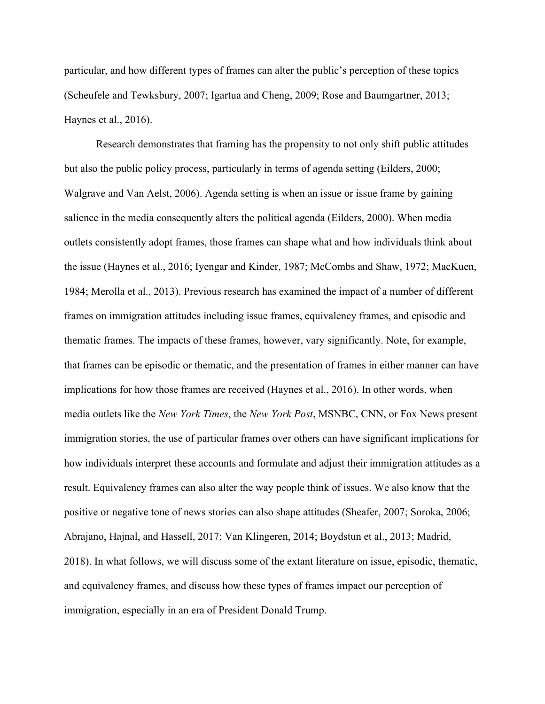particular, and how different types of frames can alter the public's perception of these topics (Scheufele and Tewksbury, 2007; Igartua and Cheng, 2009; Rose and Baumgartner, 2013; Haynes et al., 2016).

Research demonstrates that framing has the propensity to not only shift public attitudes but also the public policy process, particularly in terms of agenda setting (Eilders, 2000; Walgrave and Van Aelst, 2006). Agenda setting is when an issue or issue frame by gaining salience in the media consequently alters the political agenda (Eilders, 2000). When media outlets consistently adopt frames, those frames can shape what and how individuals think about the issue (Haynes et al., 2016; Iyengar and Kinder, 1987; McCombs and Shaw, 1972; MacKuen, 1984; Merolla et al., 2013). Previous research has examined the impact of a number of different frames on immigration attitudes including issue frames, equivalency frames, and episodic and thematic frames. The impacts of these frames, however, vary significantly. Note, for example, that frames can be episodic or thematic, and the presentation of frames in either manner can have implications for how those frames are received (Haynes et al., 2016). In other words, when media outlets like the *New York Times*, the *New York Post*, MSNBC, CNN, or Fox News present immigration stories, the use of particular frames over others can have significant implications for how individuals interpret these accounts and formulate and adjust their immigration attitudes as a result. Equivalency frames can also alter the way people think of issues. We also know that the positive or negative tone of news stories can also shape attitudes (Sheafer, 2007; Soroka, 2006; Abrajano, Hajnal, and Hassell, 2017; Van Klingeren, 2014; Boydstun et al., 2013; Madrid, 2018). In what follows, we will discuss some of the extant literature on issue, episodic, thematic, and equivalency frames, and discuss how these types of frames impact our perception of immigration, especially in an era of President Donald Trump.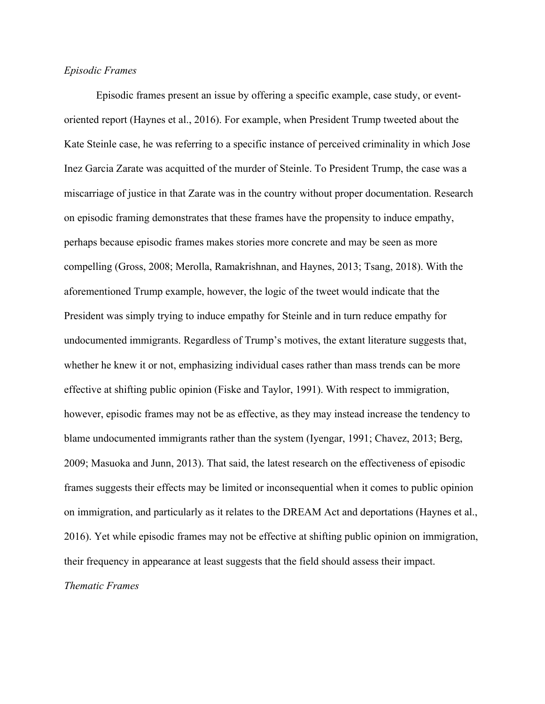#### *Episodic Frames*

Episodic frames present an issue by offering a specific example, case study, or eventoriented report (Haynes et al., 2016). For example, when President Trump tweeted about the Kate Steinle case, he was referring to a specific instance of perceived criminality in which Jose Inez Garcia Zarate was acquitted of the murder of Steinle. To President Trump, the case was a miscarriage of justice in that Zarate was in the country without proper documentation. Research on episodic framing demonstrates that these frames have the propensity to induce empathy, perhaps because episodic frames makes stories more concrete and may be seen as more compelling (Gross, 2008; Merolla, Ramakrishnan, and Haynes, 2013; Tsang, 2018). With the aforementioned Trump example, however, the logic of the tweet would indicate that the President was simply trying to induce empathy for Steinle and in turn reduce empathy for undocumented immigrants. Regardless of Trump's motives, the extant literature suggests that, whether he knew it or not, emphasizing individual cases rather than mass trends can be more effective at shifting public opinion (Fiske and Taylor, 1991). With respect to immigration, however, episodic frames may not be as effective, as they may instead increase the tendency to blame undocumented immigrants rather than the system (Iyengar, 1991; Chavez, 2013; Berg, 2009; Masuoka and Junn, 2013). That said, the latest research on the effectiveness of episodic frames suggests their effects may be limited or inconsequential when it comes to public opinion on immigration, and particularly as it relates to the DREAM Act and deportations (Haynes et al., 2016). Yet while episodic frames may not be effective at shifting public opinion on immigration, their frequency in appearance at least suggests that the field should assess their impact. *Thematic Frames*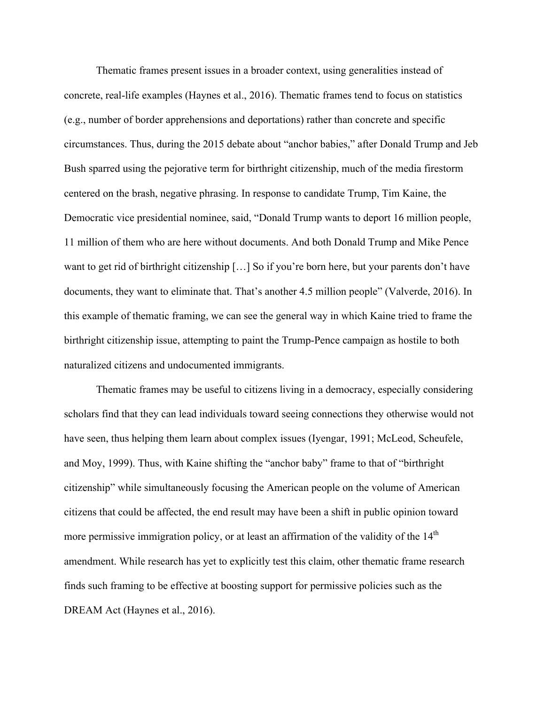Thematic frames present issues in a broader context, using generalities instead of concrete, real-life examples (Haynes et al., 2016). Thematic frames tend to focus on statistics (e.g., number of border apprehensions and deportations) rather than concrete and specific circumstances. Thus, during the 2015 debate about "anchor babies," after Donald Trump and Jeb Bush sparred using the pejorative term for birthright citizenship, much of the media firestorm centered on the brash, negative phrasing. In response to candidate Trump, Tim Kaine, the Democratic vice presidential nominee, said, "Donald Trump wants to deport 16 million people, 11 million of them who are here without documents. And both Donald Trump and Mike Pence want to get rid of birthright citizenship […] So if you're born here, but your parents don't have documents, they want to eliminate that. That's another 4.5 million people" (Valverde, 2016). In this example of thematic framing, we can see the general way in which Kaine tried to frame the birthright citizenship issue, attempting to paint the Trump-Pence campaign as hostile to both naturalized citizens and undocumented immigrants.

Thematic frames may be useful to citizens living in a democracy, especially considering scholars find that they can lead individuals toward seeing connections they otherwise would not have seen, thus helping them learn about complex issues (Iyengar, 1991; McLeod, Scheufele, and Moy, 1999). Thus, with Kaine shifting the "anchor baby" frame to that of "birthright citizenship" while simultaneously focusing the American people on the volume of American citizens that could be affected, the end result may have been a shift in public opinion toward more permissive immigration policy, or at least an affirmation of the validity of the  $14<sup>th</sup>$ amendment. While research has yet to explicitly test this claim, other thematic frame research finds such framing to be effective at boosting support for permissive policies such as the DREAM Act (Haynes et al., 2016).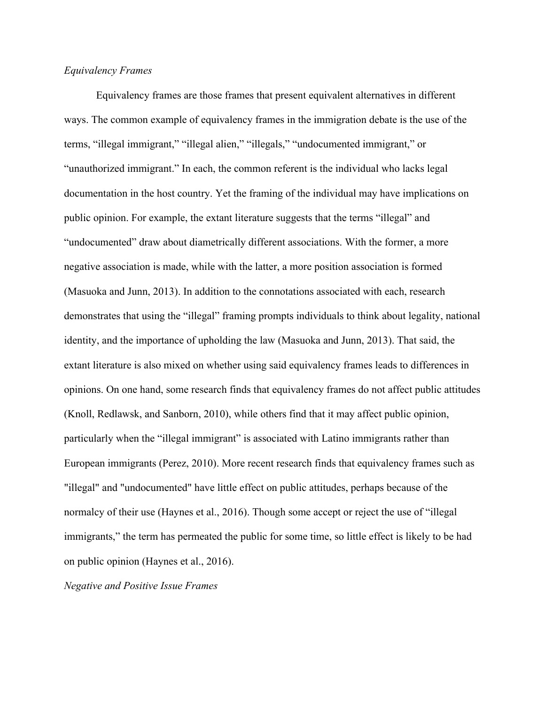#### *Equivalency Frames*

Equivalency frames are those frames that present equivalent alternatives in different ways. The common example of equivalency frames in the immigration debate is the use of the terms, "illegal immigrant," "illegal alien," "illegals," "undocumented immigrant," or "unauthorized immigrant." In each, the common referent is the individual who lacks legal documentation in the host country. Yet the framing of the individual may have implications on public opinion. For example, the extant literature suggests that the terms "illegal" and "undocumented" draw about diametrically different associations. With the former, a more negative association is made, while with the latter, a more position association is formed (Masuoka and Junn, 2013). In addition to the connotations associated with each, research demonstrates that using the "illegal" framing prompts individuals to think about legality, national identity, and the importance of upholding the law (Masuoka and Junn, 2013). That said, the extant literature is also mixed on whether using said equivalency frames leads to differences in opinions. On one hand, some research finds that equivalency frames do not affect public attitudes (Knoll, Redlawsk, and Sanborn, 2010), while others find that it may affect public opinion, particularly when the "illegal immigrant" is associated with Latino immigrants rather than European immigrants (Perez, 2010). More recent research finds that equivalency frames such as "illegal" and "undocumented" have little effect on public attitudes, perhaps because of the normalcy of their use (Haynes et al., 2016). Though some accept or reject the use of "illegal immigrants," the term has permeated the public for some time, so little effect is likely to be had on public opinion (Haynes et al., 2016).

*Negative and Positive Issue Frames*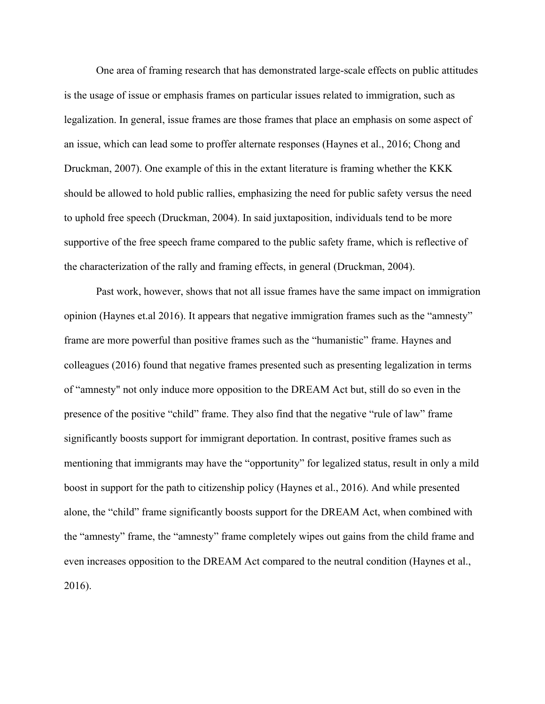One area of framing research that has demonstrated large-scale effects on public attitudes is the usage of issue or emphasis frames on particular issues related to immigration, such as legalization. In general, issue frames are those frames that place an emphasis on some aspect of an issue, which can lead some to proffer alternate responses (Haynes et al., 2016; Chong and Druckman, 2007). One example of this in the extant literature is framing whether the KKK should be allowed to hold public rallies, emphasizing the need for public safety versus the need to uphold free speech (Druckman, 2004). In said juxtaposition, individuals tend to be more supportive of the free speech frame compared to the public safety frame, which is reflective of the characterization of the rally and framing effects, in general (Druckman, 2004).

Past work, however, shows that not all issue frames have the same impact on immigration opinion (Haynes et.al 2016). It appears that negative immigration frames such as the "amnesty" frame are more powerful than positive frames such as the "humanistic" frame. Haynes and colleagues (2016) found that negative frames presented such as presenting legalization in terms of "amnesty" not only induce more opposition to the DREAM Act but, still do so even in the presence of the positive "child" frame. They also find that the negative "rule of law" frame significantly boosts support for immigrant deportation. In contrast, positive frames such as mentioning that immigrants may have the "opportunity" for legalized status, result in only a mild boost in support for the path to citizenship policy (Haynes et al., 2016). And while presented alone, the "child" frame significantly boosts support for the DREAM Act, when combined with the "amnesty" frame, the "amnesty" frame completely wipes out gains from the child frame and even increases opposition to the DREAM Act compared to the neutral condition (Haynes et al., 2016).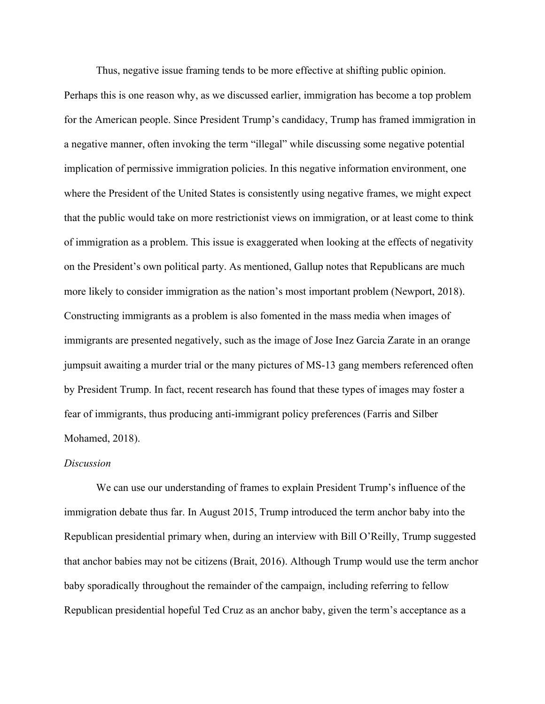Thus, negative issue framing tends to be more effective at shifting public opinion.

Perhaps this is one reason why, as we discussed earlier, immigration has become a top problem for the American people. Since President Trump's candidacy, Trump has framed immigration in a negative manner, often invoking the term "illegal" while discussing some negative potential implication of permissive immigration policies. In this negative information environment, one where the President of the United States is consistently using negative frames, we might expect that the public would take on more restrictionist views on immigration, or at least come to think of immigration as a problem. This issue is exaggerated when looking at the effects of negativity on the President's own political party. As mentioned, Gallup notes that Republicans are much more likely to consider immigration as the nation's most important problem (Newport, 2018). Constructing immigrants as a problem is also fomented in the mass media when images of immigrants are presented negatively, such as the image of Jose Inez Garcia Zarate in an orange jumpsuit awaiting a murder trial or the many pictures of MS-13 gang members referenced often by President Trump. In fact, recent research has found that these types of images may foster a fear of immigrants, thus producing anti-immigrant policy preferences (Farris and Silber Mohamed, 2018).

#### *Discussion*

We can use our understanding of frames to explain President Trump's influence of the immigration debate thus far. In August 2015, Trump introduced the term anchor baby into the Republican presidential primary when, during an interview with Bill O'Reilly, Trump suggested that anchor babies may not be citizens (Brait, 2016). Although Trump would use the term anchor baby sporadically throughout the remainder of the campaign, including referring to fellow Republican presidential hopeful Ted Cruz as an anchor baby, given the term's acceptance as a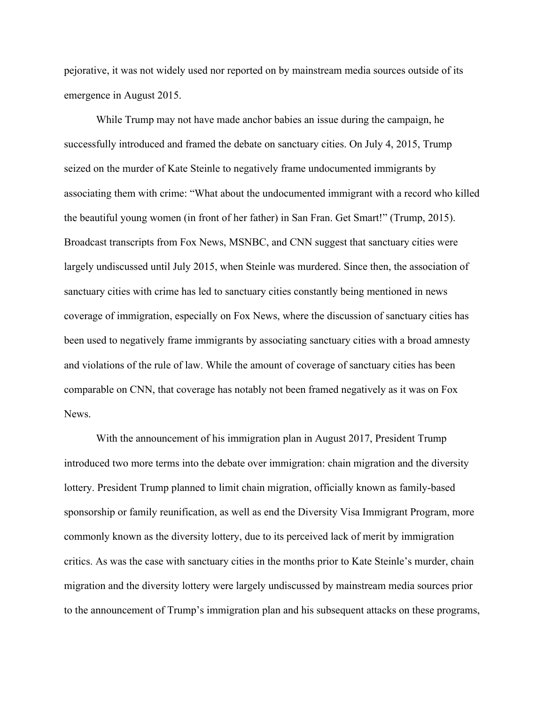pejorative, it was not widely used nor reported on by mainstream media sources outside of its emergence in August 2015.

While Trump may not have made anchor babies an issue during the campaign, he successfully introduced and framed the debate on sanctuary cities. On July 4, 2015, Trump seized on the murder of Kate Steinle to negatively frame undocumented immigrants by associating them with crime: "What about the undocumented immigrant with a record who killed the beautiful young women (in front of her father) in San Fran. Get Smart!" (Trump, 2015). Broadcast transcripts from Fox News, MSNBC, and CNN suggest that sanctuary cities were largely undiscussed until July 2015, when Steinle was murdered. Since then, the association of sanctuary cities with crime has led to sanctuary cities constantly being mentioned in news coverage of immigration, especially on Fox News, where the discussion of sanctuary cities has been used to negatively frame immigrants by associating sanctuary cities with a broad amnesty and violations of the rule of law. While the amount of coverage of sanctuary cities has been comparable on CNN, that coverage has notably not been framed negatively as it was on Fox **News** 

With the announcement of his immigration plan in August 2017, President Trump introduced two more terms into the debate over immigration: chain migration and the diversity lottery. President Trump planned to limit chain migration, officially known as family-based sponsorship or family reunification, as well as end the Diversity Visa Immigrant Program, more commonly known as the diversity lottery, due to its perceived lack of merit by immigration critics. As was the case with sanctuary cities in the months prior to Kate Steinle's murder, chain migration and the diversity lottery were largely undiscussed by mainstream media sources prior to the announcement of Trump's immigration plan and his subsequent attacks on these programs,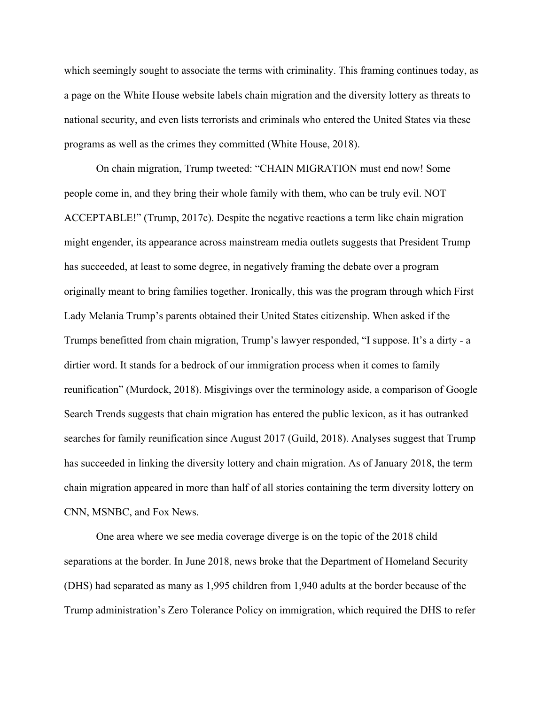which seemingly sought to associate the terms with criminality. This framing continues today, as a page on the White House website labels chain migration and the diversity lottery as threats to national security, and even lists terrorists and criminals who entered the United States via these programs as well as the crimes they committed (White House, 2018).

On chain migration, Trump tweeted: "CHAIN MIGRATION must end now! Some people come in, and they bring their whole family with them, who can be truly evil. NOT ACCEPTABLE!" (Trump, 2017c). Despite the negative reactions a term like chain migration might engender, its appearance across mainstream media outlets suggests that President Trump has succeeded, at least to some degree, in negatively framing the debate over a program originally meant to bring families together. Ironically, this was the program through which First Lady Melania Trump's parents obtained their United States citizenship. When asked if the Trumps benefitted from chain migration, Trump's lawyer responded, "I suppose. It's a dirty - a dirtier word. It stands for a bedrock of our immigration process when it comes to family reunification" (Murdock, 2018). Misgivings over the terminology aside, a comparison of Google Search Trends suggests that chain migration has entered the public lexicon, as it has outranked searches for family reunification since August 2017 (Guild, 2018). Analyses suggest that Trump has succeeded in linking the diversity lottery and chain migration. As of January 2018, the term chain migration appeared in more than half of all stories containing the term diversity lottery on CNN, MSNBC, and Fox News.

One area where we see media coverage diverge is on the topic of the 2018 child separations at the border. In June 2018, news broke that the Department of Homeland Security (DHS) had separated as many as 1,995 children from 1,940 adults at the border because of the Trump administration's Zero Tolerance Policy on immigration, which required the DHS to refer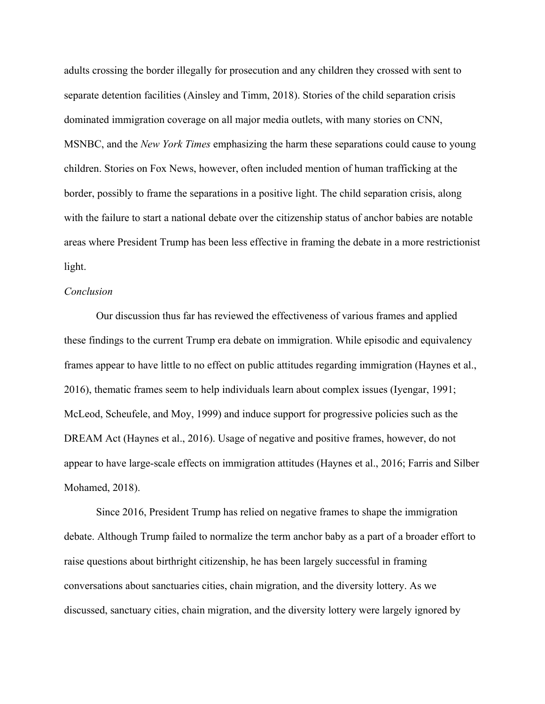adults crossing the border illegally for prosecution and any children they crossed with sent to separate detention facilities (Ainsley and Timm, 2018). Stories of the child separation crisis dominated immigration coverage on all major media outlets, with many stories on CNN, MSNBC, and the *New York Times* emphasizing the harm these separations could cause to young children. Stories on Fox News, however, often included mention of human trafficking at the border, possibly to frame the separations in a positive light. The child separation crisis, along with the failure to start a national debate over the citizenship status of anchor babies are notable areas where President Trump has been less effective in framing the debate in a more restrictionist light.

#### *Conclusion*

Our discussion thus far has reviewed the effectiveness of various frames and applied these findings to the current Trump era debate on immigration. While episodic and equivalency frames appear to have little to no effect on public attitudes regarding immigration (Haynes et al., 2016), thematic frames seem to help individuals learn about complex issues (Iyengar, 1991; McLeod, Scheufele, and Moy, 1999) and induce support for progressive policies such as the DREAM Act (Haynes et al., 2016). Usage of negative and positive frames, however, do not appear to have large-scale effects on immigration attitudes (Haynes et al., 2016; Farris and Silber Mohamed, 2018).

Since 2016, President Trump has relied on negative frames to shape the immigration debate. Although Trump failed to normalize the term anchor baby as a part of a broader effort to raise questions about birthright citizenship, he has been largely successful in framing conversations about sanctuaries cities, chain migration, and the diversity lottery. As we discussed, sanctuary cities, chain migration, and the diversity lottery were largely ignored by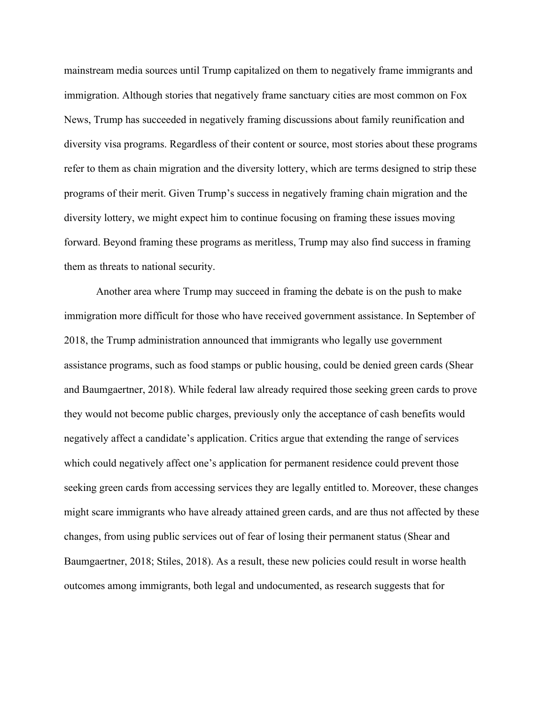mainstream media sources until Trump capitalized on them to negatively frame immigrants and immigration. Although stories that negatively frame sanctuary cities are most common on Fox News, Trump has succeeded in negatively framing discussions about family reunification and diversity visa programs. Regardless of their content or source, most stories about these programs refer to them as chain migration and the diversity lottery, which are terms designed to strip these programs of their merit. Given Trump's success in negatively framing chain migration and the diversity lottery, we might expect him to continue focusing on framing these issues moving forward. Beyond framing these programs as meritless, Trump may also find success in framing them as threats to national security.

Another area where Trump may succeed in framing the debate is on the push to make immigration more difficult for those who have received government assistance. In September of 2018, the Trump administration announced that immigrants who legally use government assistance programs, such as food stamps or public housing, could be denied green cards (Shear and Baumgaertner, 2018). While federal law already required those seeking green cards to prove they would not become public charges, previously only the acceptance of cash benefits would negatively affect a candidate's application. Critics argue that extending the range of services which could negatively affect one's application for permanent residence could prevent those seeking green cards from accessing services they are legally entitled to. Moreover, these changes might scare immigrants who have already attained green cards, and are thus not affected by these changes, from using public services out of fear of losing their permanent status (Shear and Baumgaertner, 2018; Stiles, 2018). As a result, these new policies could result in worse health outcomes among immigrants, both legal and undocumented, as research suggests that for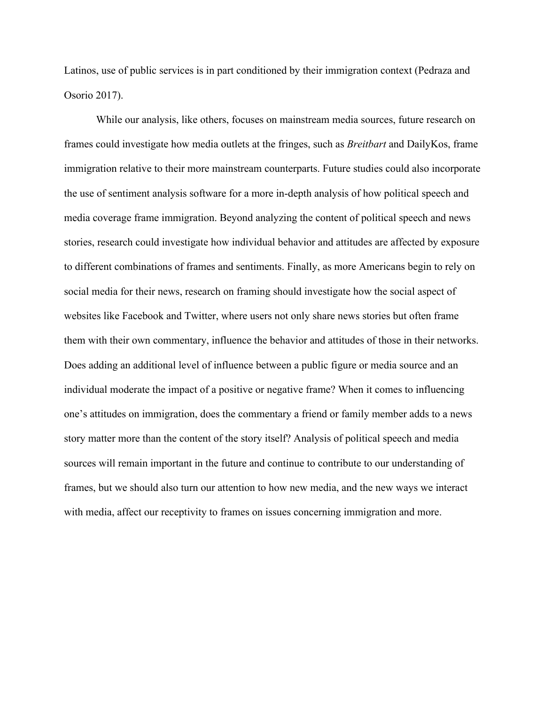Latinos, use of public services is in part conditioned by their immigration context (Pedraza and Osorio 2017).

While our analysis, like others, focuses on mainstream media sources, future research on frames could investigate how media outlets at the fringes, such as *Breitbart* and DailyKos, frame immigration relative to their more mainstream counterparts. Future studies could also incorporate the use of sentiment analysis software for a more in-depth analysis of how political speech and media coverage frame immigration. Beyond analyzing the content of political speech and news stories, research could investigate how individual behavior and attitudes are affected by exposure to different combinations of frames and sentiments. Finally, as more Americans begin to rely on social media for their news, research on framing should investigate how the social aspect of websites like Facebook and Twitter, where users not only share news stories but often frame them with their own commentary, influence the behavior and attitudes of those in their networks. Does adding an additional level of influence between a public figure or media source and an individual moderate the impact of a positive or negative frame? When it comes to influencing one's attitudes on immigration, does the commentary a friend or family member adds to a news story matter more than the content of the story itself? Analysis of political speech and media sources will remain important in the future and continue to contribute to our understanding of frames, but we should also turn our attention to how new media, and the new ways we interact with media, affect our receptivity to frames on issues concerning immigration and more.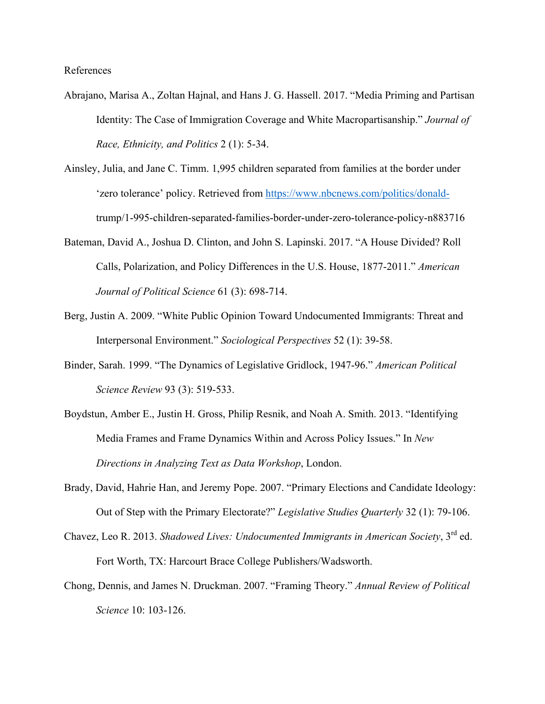References

- Abrajano, Marisa A., Zoltan Hajnal, and Hans J. G. Hassell. 2017. "Media Priming and Partisan Identity: The Case of Immigration Coverage and White Macropartisanship." *Journal of Race, Ethnicity, and Politics* 2 (1): 5-34.
- Ainsley, Julia, and Jane C. Timm. 1,995 children separated from families at the border under 'zero tolerance' policy. Retrieved from https://www.nbcnews.com/politics/donaldtrump/1-995-children-separated-families-border-under-zero-tolerance-policy-n883716
- Bateman, David A., Joshua D. Clinton, and John S. Lapinski. 2017. "A House Divided? Roll Calls, Polarization, and Policy Differences in the U.S. House, 1877-2011." *American Journal of Political Science* 61 (3): 698-714.
- Berg, Justin A. 2009. "White Public Opinion Toward Undocumented Immigrants: Threat and Interpersonal Environment." *Sociological Perspectives* 52 (1): 39-58.
- Binder, Sarah. 1999. "The Dynamics of Legislative Gridlock, 1947-96." *American Political Science Review* 93 (3): 519-533.
- Boydstun, Amber E., Justin H. Gross, Philip Resnik, and Noah A. Smith. 2013. "Identifying Media Frames and Frame Dynamics Within and Across Policy Issues." In *New Directions in Analyzing Text as Data Workshop*, London.
- Brady, David, Hahrie Han, and Jeremy Pope. 2007. "Primary Elections and Candidate Ideology: Out of Step with the Primary Electorate?" *Legislative Studies Quarterly* 32 (1): 79-106.
- Chavez, Leo R. 2013. *Shadowed Lives: Undocumented Immigrants in American Society*, 3rd ed. Fort Worth, TX: Harcourt Brace College Publishers/Wadsworth.
- Chong, Dennis, and James N. Druckman. 2007. "Framing Theory." *Annual Review of Political Science* 10: 103-126.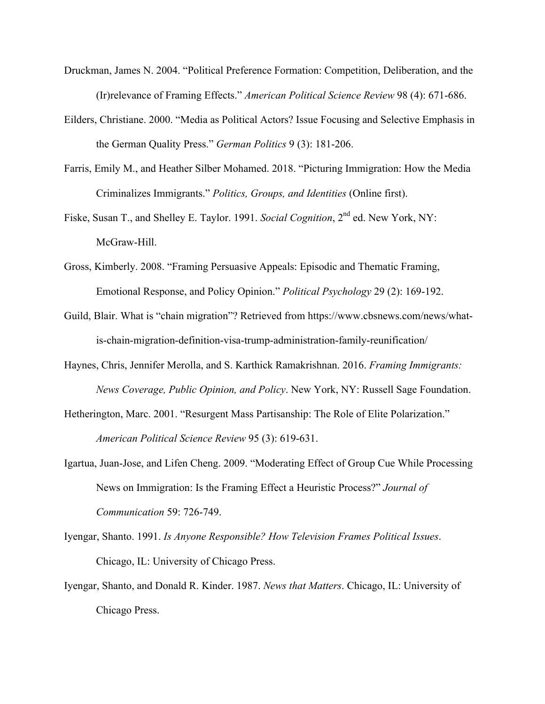- Druckman, James N. 2004. "Political Preference Formation: Competition, Deliberation, and the (Ir)relevance of Framing Effects." *American Political Science Review* 98 (4): 671-686.
- Eilders, Christiane. 2000. "Media as Political Actors? Issue Focusing and Selective Emphasis in the German Quality Press." *German Politics* 9 (3): 181-206.
- Farris, Emily M., and Heather Silber Mohamed. 2018. "Picturing Immigration: How the Media Criminalizes Immigrants." *Politics, Groups, and Identities* (Online first).
- Fiske, Susan T., and Shelley E. Taylor. 1991. *Social Cognition*, 2nd ed. New York, NY: McGraw-Hill.
- Gross, Kimberly. 2008. "Framing Persuasive Appeals: Episodic and Thematic Framing, Emotional Response, and Policy Opinion." *Political Psychology* 29 (2): 169-192.
- Guild, Blair. What is "chain migration"? Retrieved from https://www.cbsnews.com/news/whatis-chain-migration-definition-visa-trump-administration-family-reunification/
- Haynes, Chris, Jennifer Merolla, and S. Karthick Ramakrishnan. 2016. *Framing Immigrants: News Coverage, Public Opinion, and Policy*. New York, NY: Russell Sage Foundation.
- Hetherington, Marc. 2001. "Resurgent Mass Partisanship: The Role of Elite Polarization." *American Political Science Review* 95 (3): 619-631.
- Igartua, Juan-Jose, and Lifen Cheng. 2009. "Moderating Effect of Group Cue While Processing News on Immigration: Is the Framing Effect a Heuristic Process?" *Journal of Communication* 59: 726-749.
- Iyengar, Shanto. 1991. *Is Anyone Responsible? How Television Frames Political Issues*. Chicago, IL: University of Chicago Press.
- Iyengar, Shanto, and Donald R. Kinder. 1987. *News that Matters*. Chicago, IL: University of Chicago Press.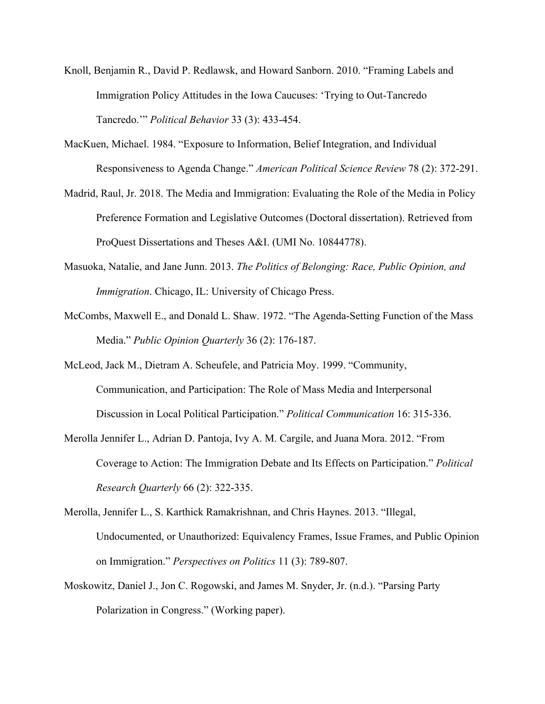- Knoll, Benjamin R., David P. Redlawsk, and Howard Sanborn. 2010. "Framing Labels and Immigration Policy Attitudes in the Iowa Caucuses: 'Trying to Out-Tancredo Tancredo.'" *Political Behavior* 33 (3): 433-454.
- MacKuen, Michael. 1984. "Exposure to Information, Belief Integration, and Individual Responsiveness to Agenda Change." *American Political Science Review* 78 (2): 372-291.
- Madrid, Raul, Jr. 2018. The Media and Immigration: Evaluating the Role of the Media in Policy Preference Formation and Legislative Outcomes (Doctoral dissertation). Retrieved from ProQuest Dissertations and Theses A&I. (UMI No. 10844778).
- Masuoka, Natalie, and Jane Junn. 2013. *The Politics of Belonging: Race, Public Opinion, and Immigration*. Chicago, IL: University of Chicago Press.
- McCombs, Maxwell E., and Donald L. Shaw. 1972. "The Agenda-Setting Function of the Mass Media." *Public Opinion Quarterly* 36 (2): 176-187.
- McLeod, Jack M., Dietram A. Scheufele, and Patricia Moy. 1999. "Community, Communication, and Participation: The Role of Mass Media and Interpersonal Discussion in Local Political Participation." *Political Communication* 16: 315-336.
- Merolla Jennifer L., Adrian D. Pantoja, Ivy A. M. Cargile, and Juana Mora. 2012. "From Coverage to Action: The Immigration Debate and Its Effects on Participation." *Political Research Quarterly* 66 (2): 322-335.
- Merolla, Jennifer L., S. Karthick Ramakrishnan, and Chris Haynes. 2013. "Illegal, Undocumented, or Unauthorized: Equivalency Frames, Issue Frames, and Public Opinion on Immigration." *Perspectives on Politics* 11 (3): 789-807.
- Moskowitz, Daniel J., Jon C. Rogowski, and James M. Snyder, Jr. (n.d.). "Parsing Party Polarization in Congress." (Working paper).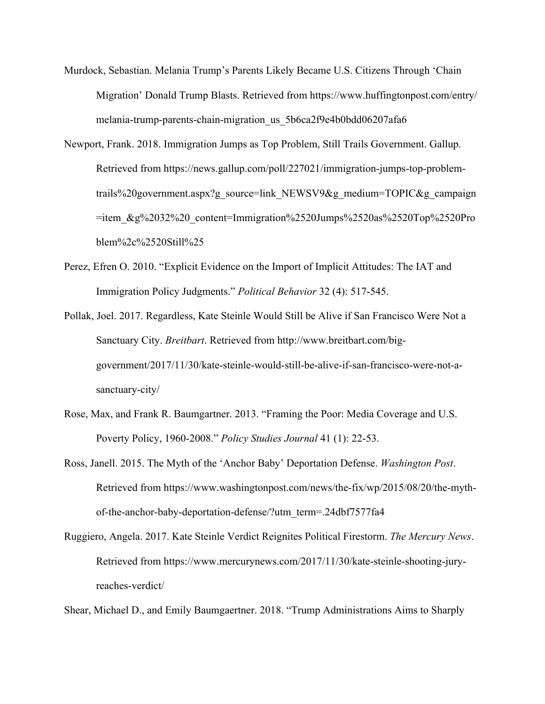- Murdock, Sebastian. Melania Trump's Parents Likely Became U.S. Citizens Through 'Chain Migration' Donald Trump Blasts. Retrieved from https://www.huffingtonpost.com/entry/ melania-trump-parents-chain-migration\_us\_5b6ca2f9e4b0bdd06207afa6
- Newport, Frank. 2018. Immigration Jumps as Top Problem, Still Trails Government. Gallup. Retrieved from https://news.gallup.com/poll/227021/immigration-jumps-top-problemtrails%20government.aspx?g\_source=link\_NEWSV9&g\_medium=TOPIC&g\_campaign  $=$ item\_&g%2032%20\_content=Immigration%2520Jumps%2520as%2520Top%2520Pro blem%2c%2520Still%25
- Perez, Efren O. 2010. "Explicit Evidence on the Import of Implicit Attitudes: The IAT and Immigration Policy Judgments." *Political Behavior* 32 (4): 517-545.
- Pollak, Joel. 2017. Regardless, Kate Steinle Would Still be Alive if San Francisco Were Not a Sanctuary City. *Breitbart*. Retrieved from http://www.breitbart.com/biggovernment/2017/11/30/kate-steinle-would-still-be-alive-if-san-francisco-were-not-asanctuary-city/
- Rose, Max, and Frank R. Baumgartner. 2013. "Framing the Poor: Media Coverage and U.S. Poverty Policy, 1960-2008." *Policy Studies Journal* 41 (1): 22-53.
- Ross, Janell. 2015. The Myth of the 'Anchor Baby' Deportation Defense. *Washington Post*. Retrieved from https://www.washingtonpost.com/news/the-fix/wp/2015/08/20/the-mythof-the-anchor-baby-deportation-defense/?utm\_term=.24dbf7577fa4
- Ruggiero, Angela. 2017. Kate Steinle Verdict Reignites Political Firestorm. *The Mercury News*. Retrieved from https://www.mercurynews.com/2017/11/30/kate-steinle-shooting-juryreaches-verdict/

Shear, Michael D., and Emily Baumgaertner. 2018. "Trump Administrations Aims to Sharply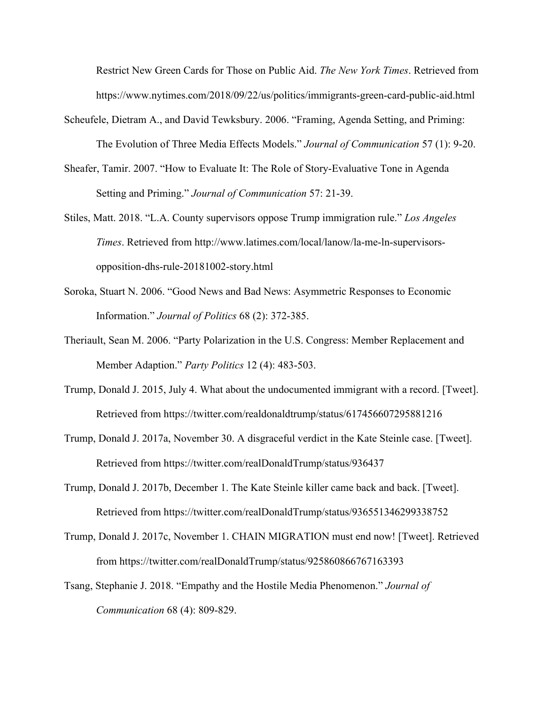Restrict New Green Cards for Those on Public Aid. *The New York Times*. Retrieved from https://www.nytimes.com/2018/09/22/us/politics/immigrants-green-card-public-aid.html

- Scheufele, Dietram A., and David Tewksbury. 2006. "Framing, Agenda Setting, and Priming: The Evolution of Three Media Effects Models." *Journal of Communication* 57 (1): 9-20.
- Sheafer, Tamir. 2007. "How to Evaluate It: The Role of Story-Evaluative Tone in Agenda Setting and Priming." *Journal of Communication* 57: 21-39.
- Stiles, Matt. 2018. "L.A. County supervisors oppose Trump immigration rule." *Los Angeles Times*. Retrieved from http://www.latimes.com/local/lanow/la-me-ln-supervisorsopposition-dhs-rule-20181002-story.html
- Soroka, Stuart N. 2006. "Good News and Bad News: Asymmetric Responses to Economic Information." *Journal of Politics* 68 (2): 372-385.
- Theriault, Sean M. 2006. "Party Polarization in the U.S. Congress: Member Replacement and Member Adaption." *Party Politics* 12 (4): 483-503.
- Trump, Donald J. 2015, July 4. What about the undocumented immigrant with a record. [Tweet]. Retrieved from https://twitter.com/realdonaldtrump/status/617456607295881216
- Trump, Donald J. 2017a, November 30. A disgraceful verdict in the Kate Steinle case. [Tweet]. Retrieved from https://twitter.com/realDonaldTrump/status/936437
- Trump, Donald J. 2017b, December 1. The Kate Steinle killer came back and back. [Tweet]. Retrieved from https://twitter.com/realDonaldTrump/status/936551346299338752
- Trump, Donald J. 2017c, November 1. CHAIN MIGRATION must end now! [Tweet]. Retrieved from https://twitter.com/realDonaldTrump/status/925860866767163393
- Tsang, Stephanie J. 2018. "Empathy and the Hostile Media Phenomenon." *Journal of Communication* 68 (4): 809-829.